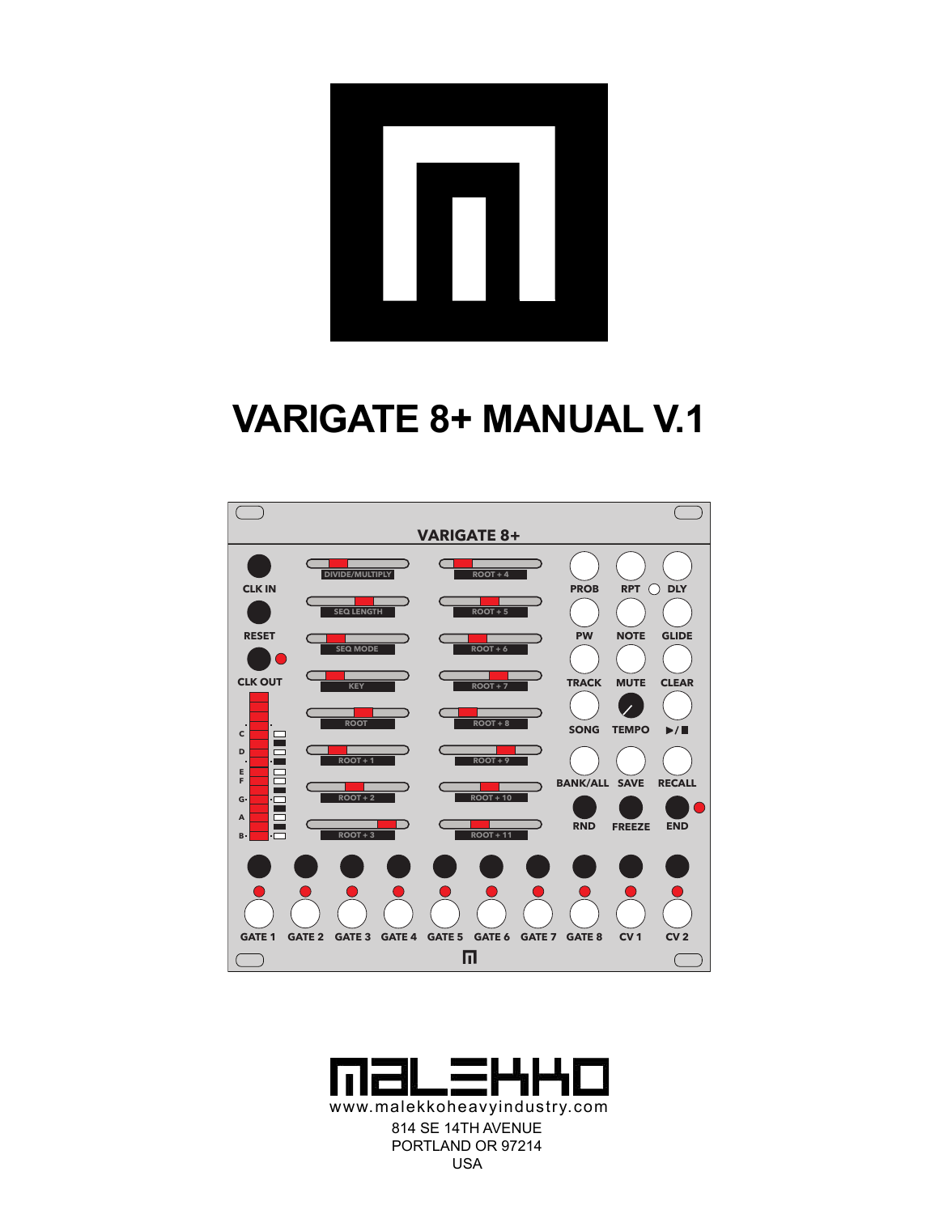# **VARIGATE 8+ MANUAL V.1**



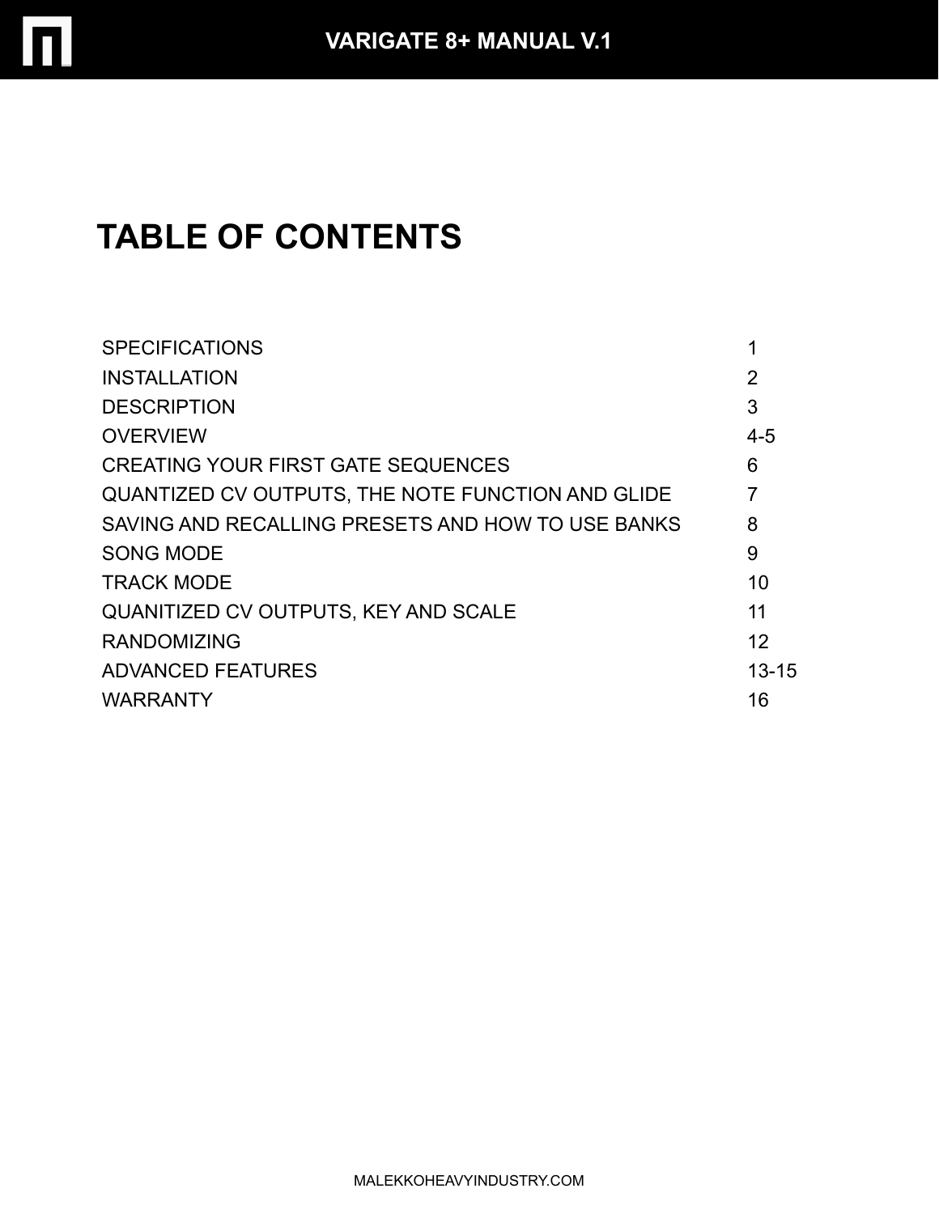

# **TABLE OF CONTENTS**

| <b>SPECIFICATIONS</b>                                    |           |
|----------------------------------------------------------|-----------|
| <b>INSTALLATION</b>                                      | 2         |
| <b>DESCRIPTION</b>                                       | 3         |
| <b>OVERVIEW</b>                                          | $4 - 5$   |
| <b>CREATING YOUR FIRST GATE SEQUENCES</b>                | 6         |
| <b>QUANTIZED CV OUTPUTS, THE NOTE FUNCTION AND GLIDE</b> |           |
| SAVING AND RECALLING PRESETS AND HOW TO USE BANKS        | 8         |
| <b>SONG MODE</b>                                         | 9         |
| <b>TRACK MODE</b>                                        | 10        |
| QUANITIZED CV OUTPUTS, KEY AND SCALE                     | 11        |
| <b>RANDOMIZING</b>                                       | 12        |
| <b>ADVANCED FEATURES</b>                                 | $13 - 15$ |
| <b>WARRANTY</b>                                          | 16        |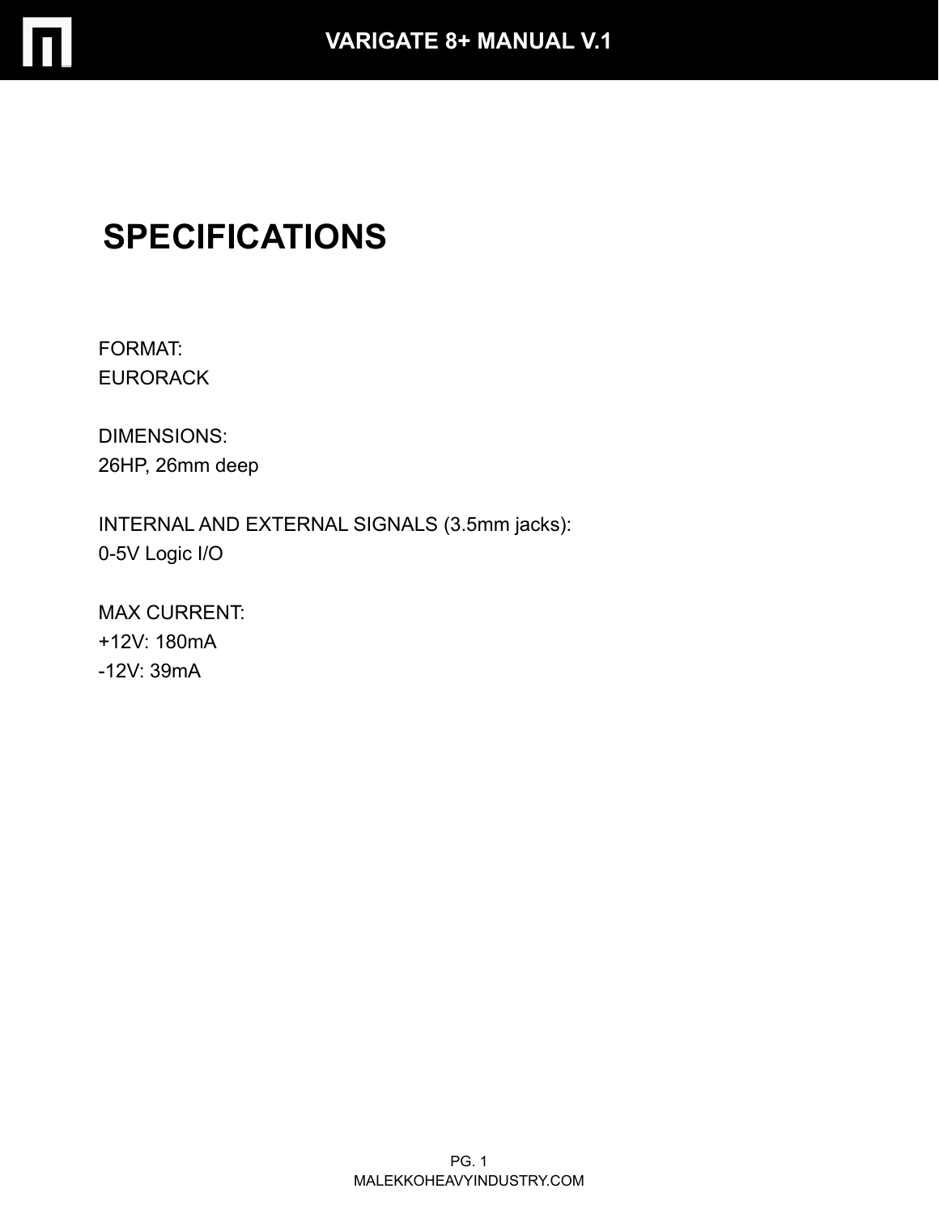

# **SPECIFICATIONS**

FORMAT: EURORACK

DIMENSIONS: 26HP, 26mm deep

INTERNAL AND EXTERNAL SIGNALS (3.5mm jacks): 0-5V Logic I/O

MAX CURRENT: +12V: 180mA -12V: 39mA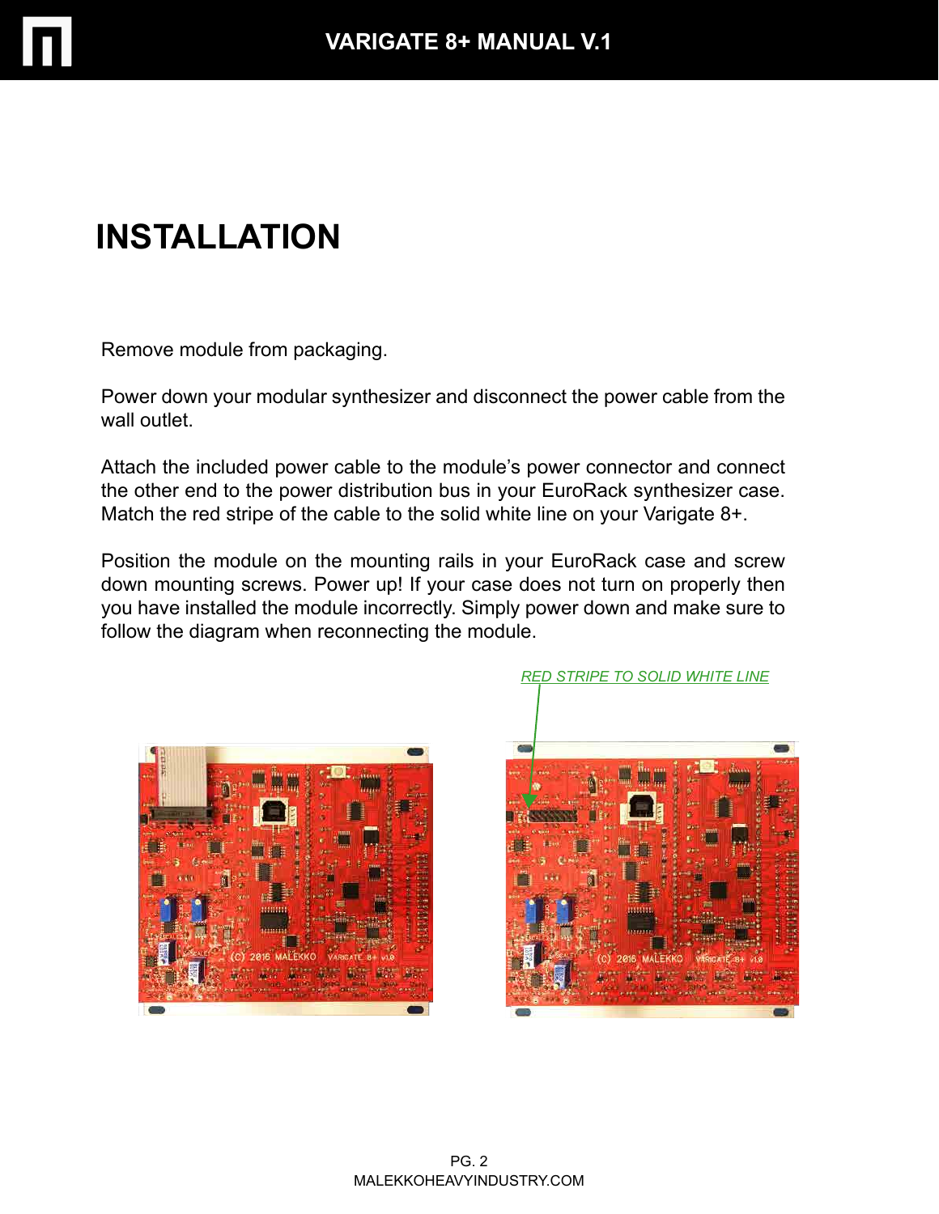

# **INSTALLATION**

Remove module from packaging.

Power down your modular synthesizer and disconnect the power cable from the wall outlet

Attach the included power cable to the module's power connector and connect the other end to the power distribution bus in your EuroRack synthesizer case. Match the red stripe of the cable to the solid white line on your Varigate 8+.

Position the module on the mounting rails in your EuroRack case and screw down mounting screws. Power up! If your case does not turn on properly then you have installed the module incorrectly. Simply power down and make sure to follow the diagram when reconnecting the module.



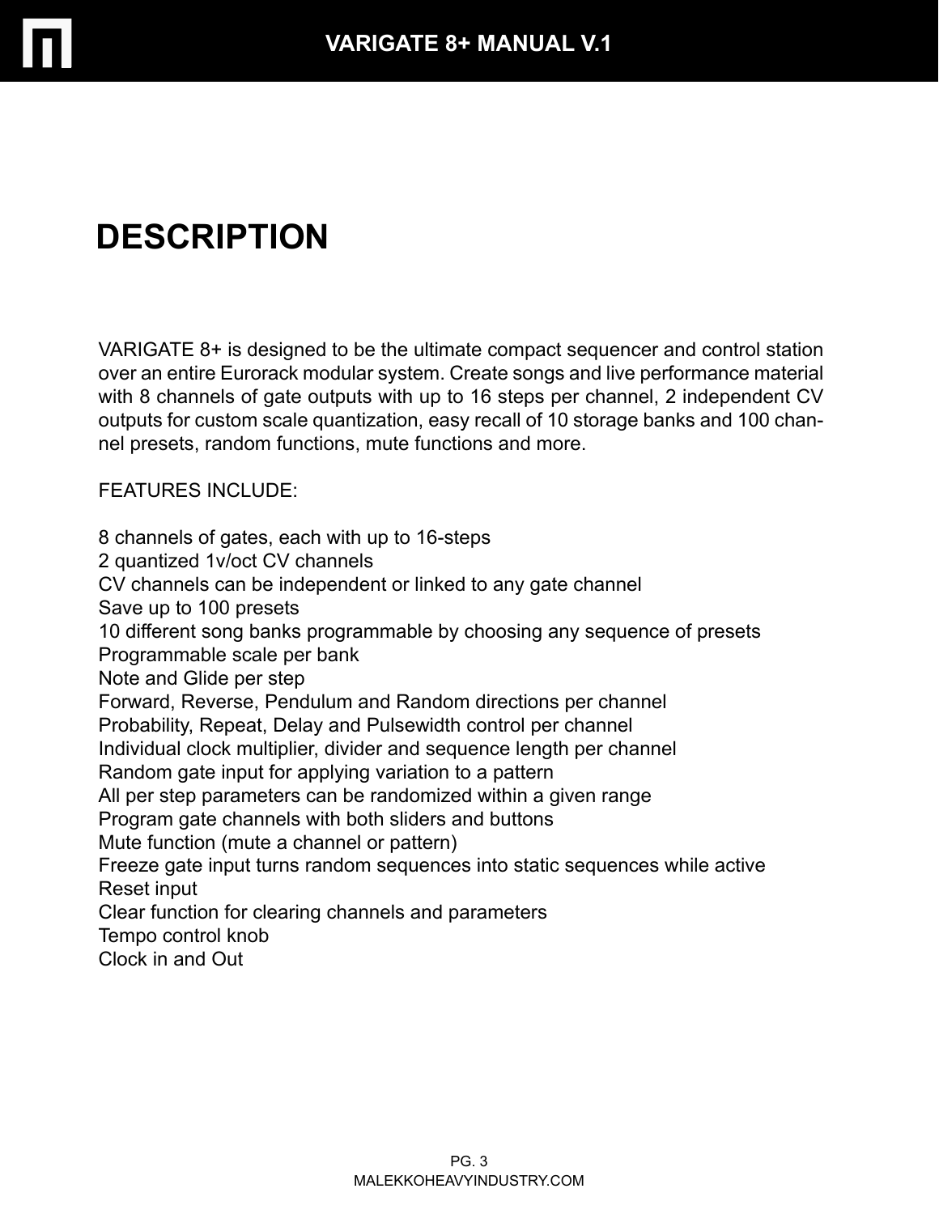

# **DESCRIPTION**

VARIGATE 8+ is designed to be the ultimate compact sequencer and control station over an entire Eurorack modular system. Create songs and live performance material with 8 channels of gate outputs with up to 16 steps per channel, 2 independent CV outputs for custom scale quantization, easy recall of 10 storage banks and 100 channel presets, random functions, mute functions and more.

FEATURES INCLUDE:

8 channels of gates, each with up to 16-steps 2 quantized 1v/oct CV channels CV channels can be independent or linked to any gate channel Save up to 100 presets 10 different song banks programmable by choosing any sequence of presets Programmable scale per bank Note and Glide per step Forward, Reverse, Pendulum and Random directions per channel Probability, Repeat, Delay and Pulsewidth control per channel Individual clock multiplier, divider and sequence length per channel Random gate input for applying variation to a pattern All per step parameters can be randomized within a given range Program gate channels with both sliders and buttons Mute function (mute a channel or pattern) Freeze gate input turns random sequences into static sequences while active Reset input Clear function for clearing channels and parameters Tempo control knob Clock in and Out

> MALEKKOHEAVYINDUSTRY.COM PG. 3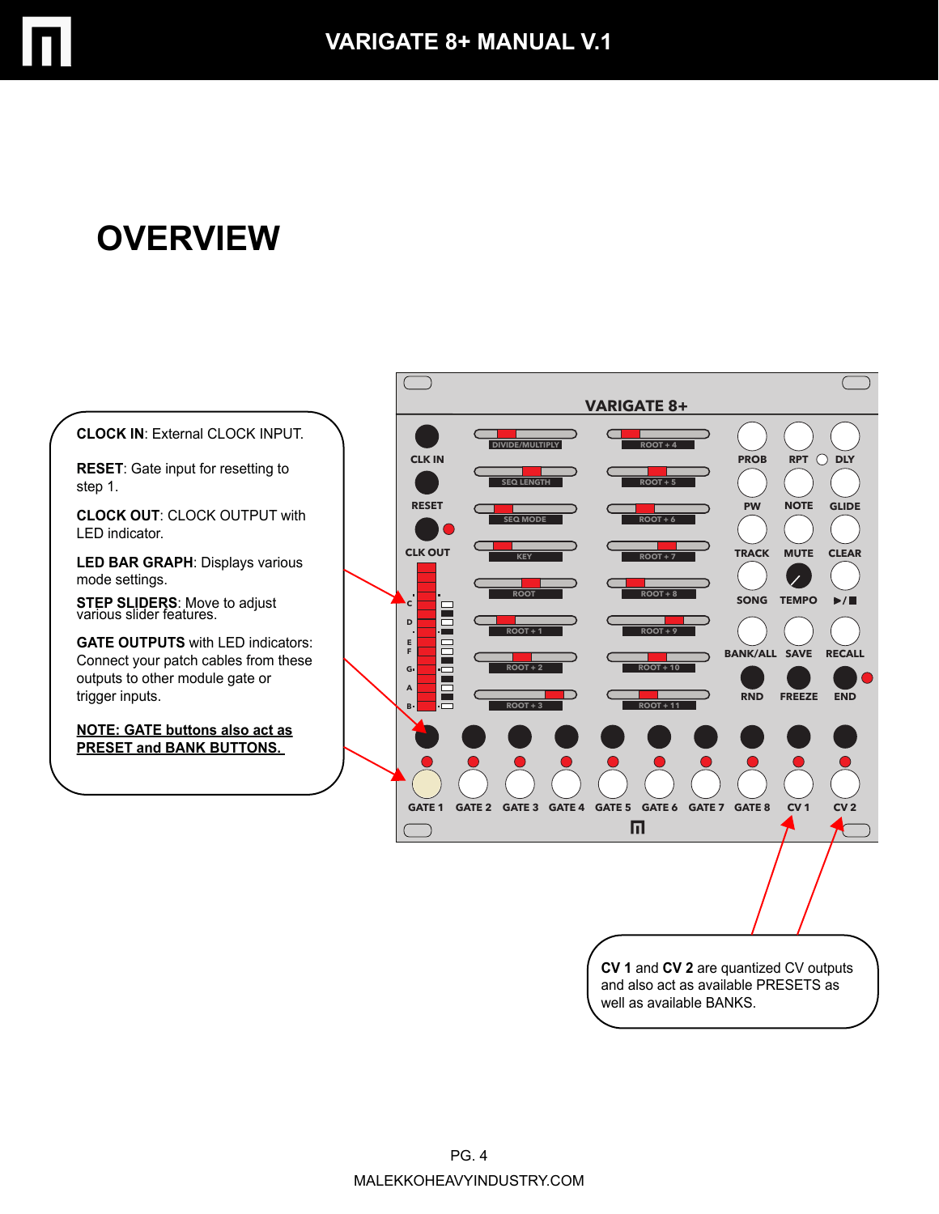

# **OVERVIEW**



**RESET**: Gate input for resetting to step 1.

**CLOCK OUT**: CLOCK OUTPUT with LED indicator.

**LED BAR GRAPH**: Displays various mode settings.

**STEP SLIDERS**: Move to adjust various slider features.

**GATE OUTPUTS** with LED indicators: Connect your patch cables from these outputs to other module gate or trigger inputs.

**NOTE: GATE buttons also act as PRESET and BANK BUTTONS.**



**CV 1** and **CV 2** are quantized CV outputs and also act as available PRESETS as well as available BANKS.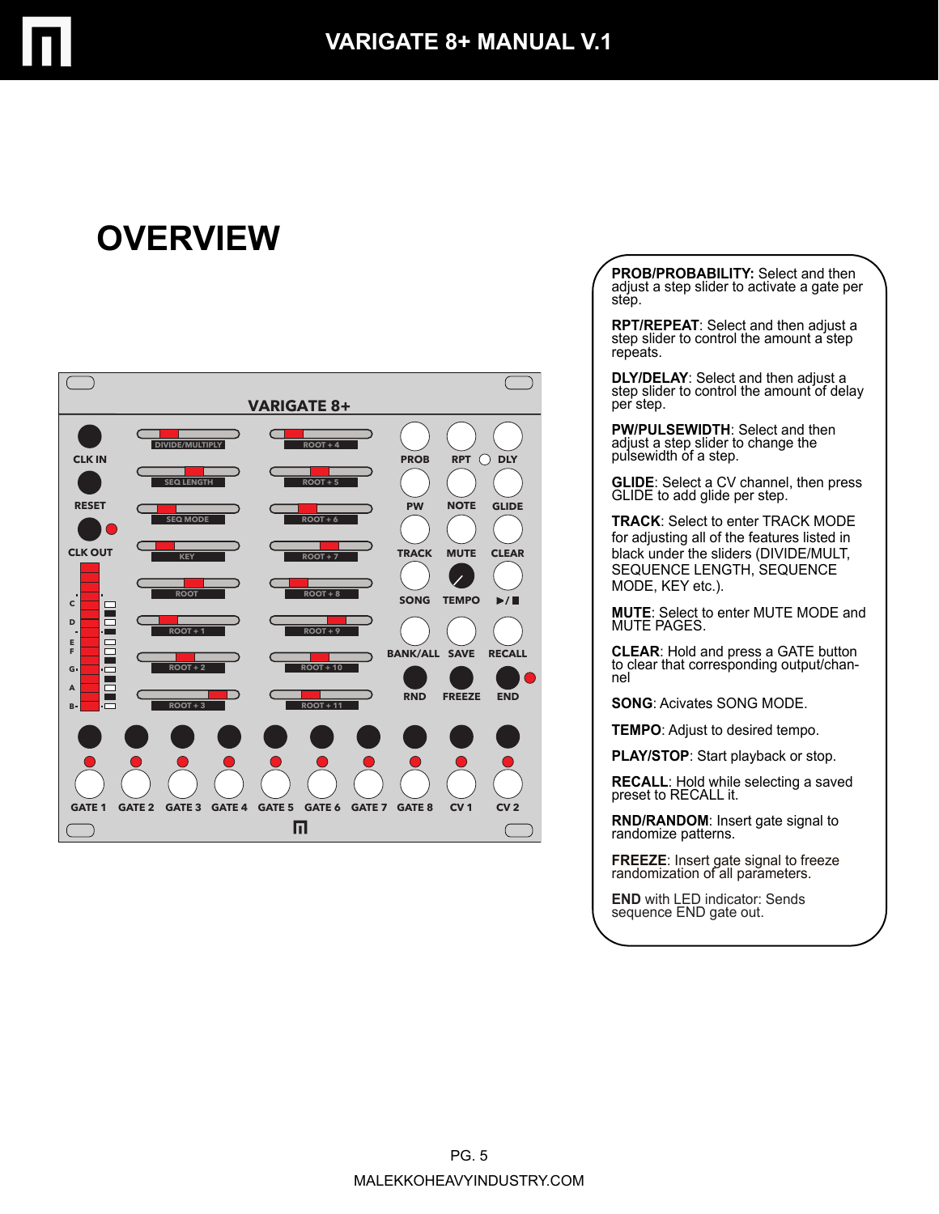# **OVERVIEW**



**PROB/PROBABILITY:** Select and then adjust a step slider to activate a gate per step.

**RPT/REPEAT**: Select and then adjust a step slider to control the amount a step repeats.

**DLY/DELAY:** Select and then adjust a step slider to control the amount of delay per step.

**PW/PULSEWIDTH**: Select and then adjust a step slider to change the pulsewidth of a step.

**GLIDE**: Select a CV channel, then press GLIDE to add glide per step.

**TRACK**: Select to enter TRACK MODE for adjusting all of the features listed in black under the sliders (DIVIDE/MULT, SEQUENCE LENGTH, SEQUENCE MODE, KEY etc.).

**MUTE**: Select to enter MUTE MODE and MUTE PAGES.

**CLEAR**: Hold and press a GATE button to clear that corresponding output/channel

**SONG**: Acivates SONG MODE.

**TEMPO**: Adjust to desired tempo.

**PLAY/STOP**: Start playback or stop.

**RECALL**: Hold while selecting a saved preset to RECALL it.

**RND/RANDOM**: Insert gate signal to randomize patterns.

**FREEZE**: Insert gate signal to freeze randomization of all parameters.

**END** with LED indicator: Sends sequence END gate out.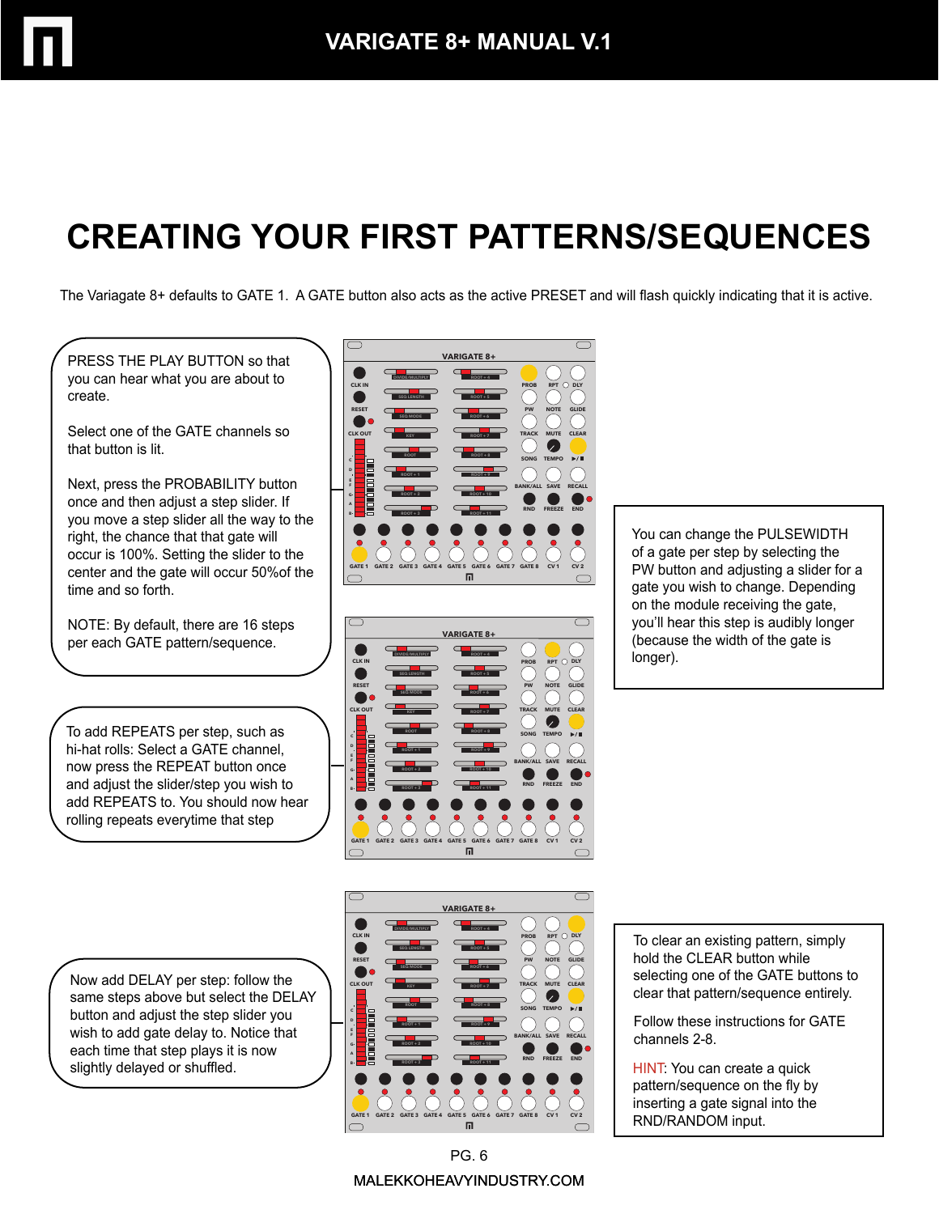# **CREATING YOUR FIRST PATTERNS/SEQUENCES**

The Variagate 8+ defaults to GATE 1. A GATE button also acts as the active PRESET and will flash quickly indicating that it is active.

PRESS THE PLAY BUTTON so that you can hear what you are about to create.

Select one of the GATE channels so that button is lit.

Next, press the PROBABILITY button once and then adjust a step slider. If you move a step slider all the way to the right, the chance that that gate will occur is 100%. Setting the slider to the center and the gate will occur 50%of the time and so forth.

NOTE: By default, there are 16 steps per each GATE pattern/sequence.

To add REPEATS per step, such as hi-hat rolls: Select a GATE channel, now press the REPEAT button once and adjust the slider/step you wish to add REPEATS to. You should now hear rolling repeats everytime that step





You can change the PULSEWIDTH of a gate per step by selecting the PW button and adjusting a slider for a gate you wish to change. Depending on the module receiving the gate, you'll hear this step is audibly longer (because the width of the gate is longer).

Now add DELAY per step: follow the same steps above but select the DELAY button and adjust the step slider you wish to add gate delay to. Notice that each time that step plays it is now slightly delayed or shuffled.



To clear an existing pattern, simply hold the CLEAR button while selecting one of the GATE buttons to clear that pattern/sequence entirely.

Follow these instructions for GATE channels 2-8.

HINT: You can create a quick pattern/sequence on the fly by inserting a gate signal into the RND/RANDOM input.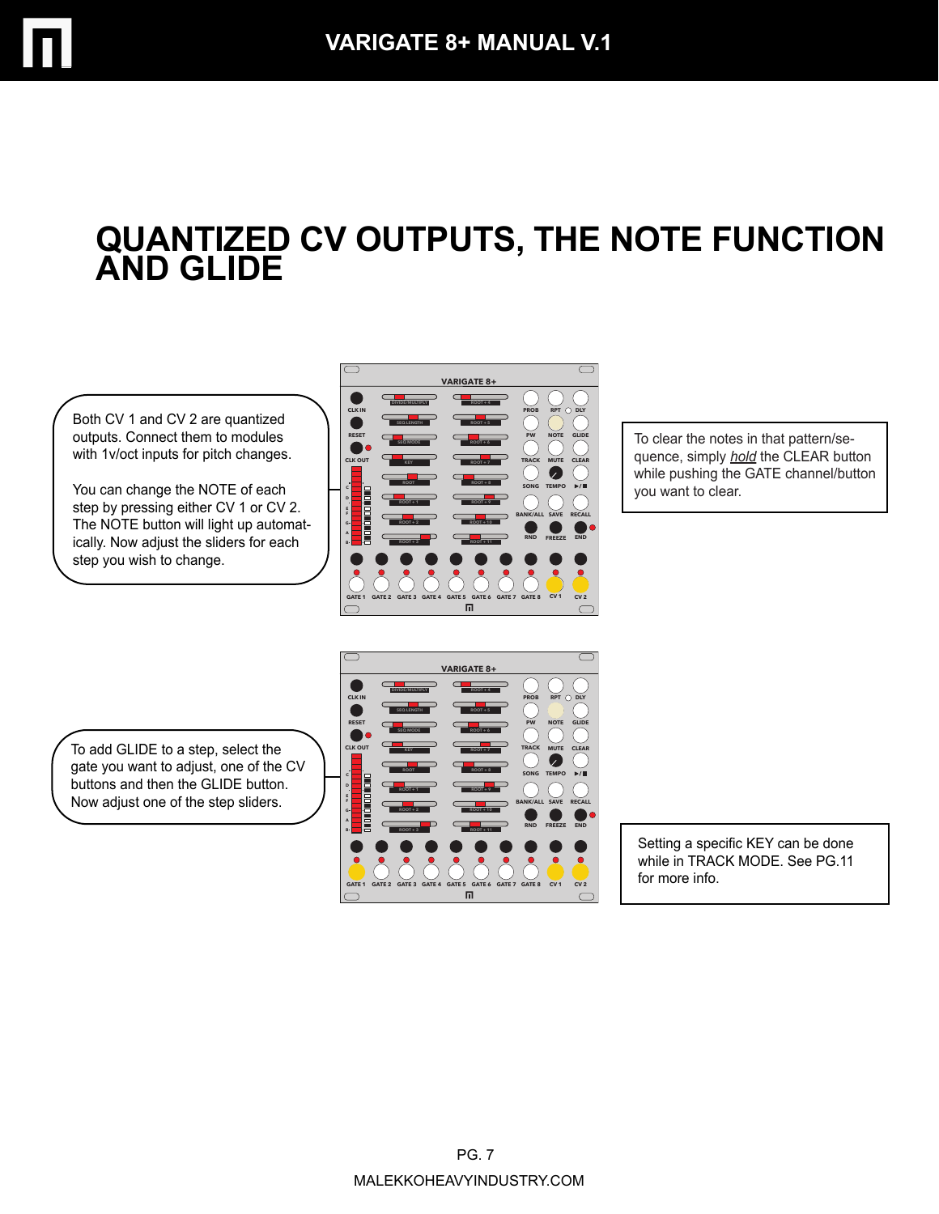### **QUANTIZED CV OUTPUTS, THE NOTE FUNCTION AND GLIDE**

Both CV 1 and CV 2 are quantized outputs. Connect them to modules with 1v/oct inputs for pitch changes.

You can change the NOTE of each step by pressing either CV 1 or CV 2. The NOTE button will light up automatically. Now adjust the sliders for each step you wish to change.



To clear the notes in that pattern/sequence, simply *hold* the CLEAR button while pushing the GATE channel/button you want to clear.

To add GLIDE to a step, select the gate you want to adjust, one of the CV buttons and then the GLIDE button. Now adjust one of the step sliders.



Setting a specific KEY can be done while in TRACK MODE. See PG.11 for more info.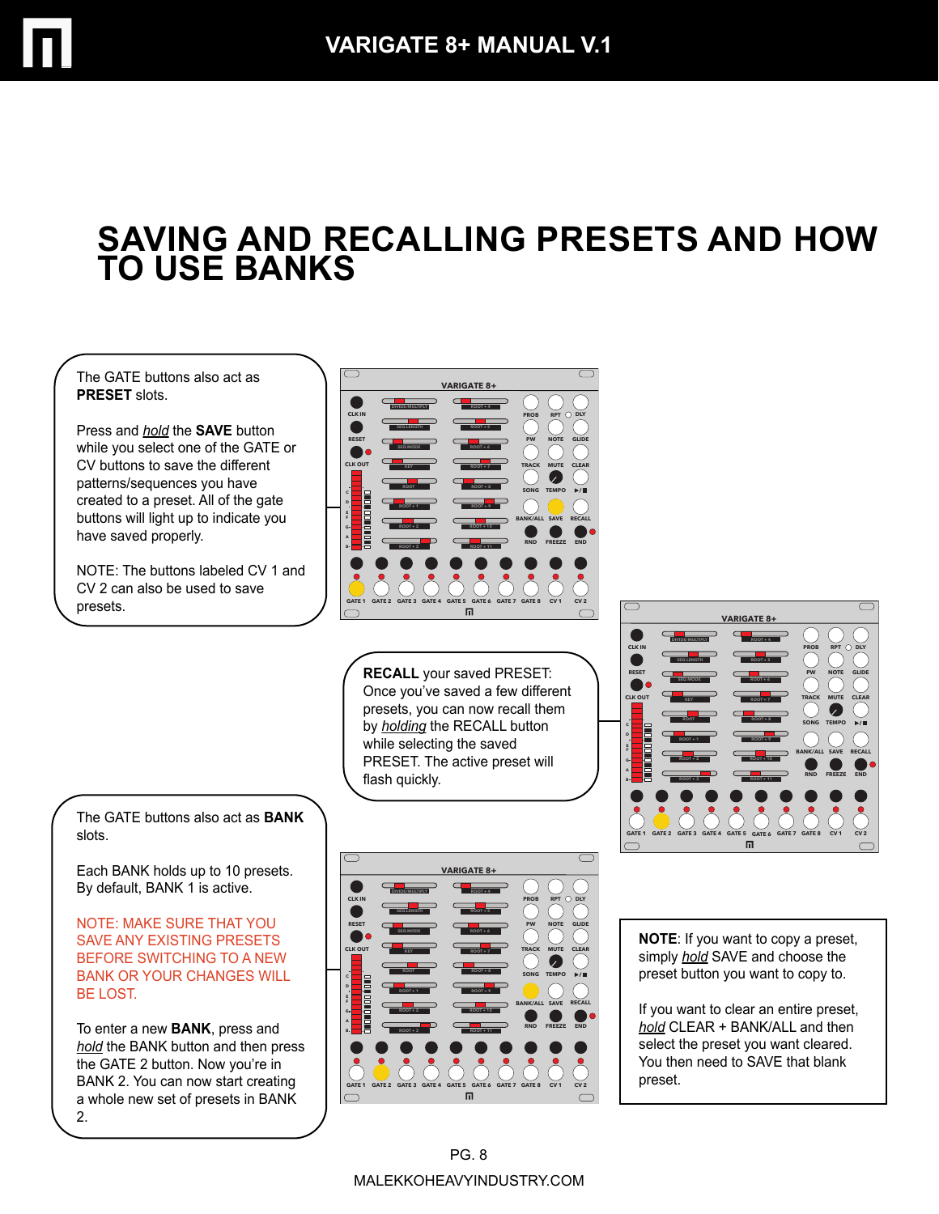#### **SAVING AND RECALLING PRESETS AND HOW TO USE BANKS**

The GATE buttons also act as **PRESET** slots.

Press and *hold* the **SAVE** button while you select one of the GATE or CV buttons to save the different patterns/sequences you have created to a preset. All of the gate buttons will light up to indicate you have saved properly.

NOTE: The buttons labeled CV 1 and CV 2 can also be used to save presets.



**RECALL** your saved PRESET: Once you've saved a few different presets, you can now recall them by *holding* the RECALL button while selecting the saved PRESET. The active preset will flash quickly.



The GATE buttons also act as **BANK** slots.

Each BANK holds up to 10 presets. By default, BANK 1 is active.

NOTE: MAKE SURE THAT YOU SAVE ANY EXISTING PRESETS BEFORE SWITCHING TO A NEW BANK OR YOUR CHANGES WILL BE LOST.

To enter a new **BANK**, press and *hold* the BANK button and then press the GATE 2 button. Now you're in BANK 2. You can now start creating a whole new set of presets in BANK 2.



**NOTE**: If you want to copy a preset, simply *hold* SAVE and choose the preset button you want to copy to.

If you want to clear an entire preset, *hold* CLEAR + BANK/ALL and then select the preset you want cleared. You then need to SAVE that blank preset.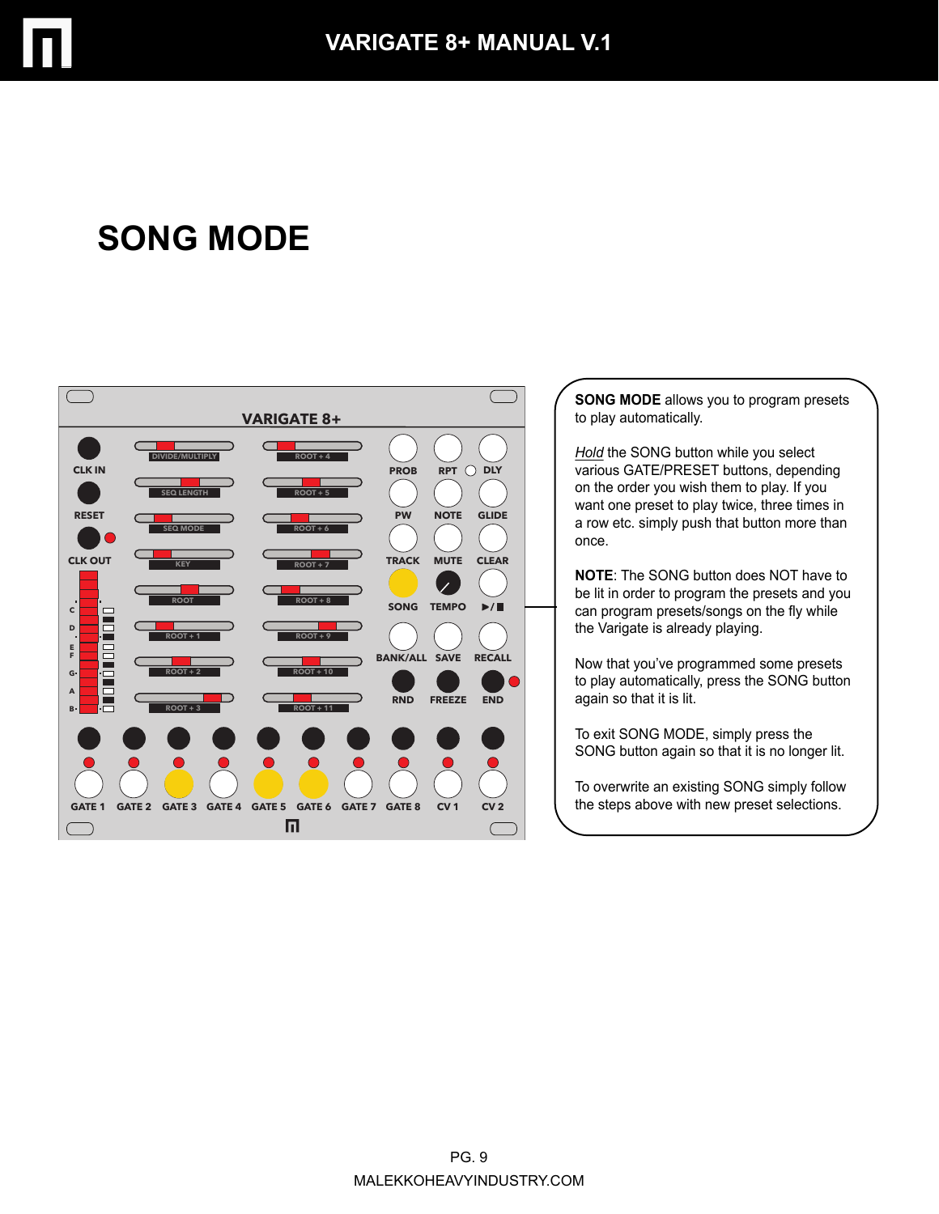

## **SONG MODE**



**SONG MODE** allows you to program presets to play automatically.

*Hold* the SONG button while you select various GATE/PRESET buttons, depending on the order you wish them to play. If you want one preset to play twice, three times in a row etc. simply push that button more than once.

**NOTE**: The SONG button does NOT have to be lit in order to program the presets and you can program presets/songs on the fly while the Varigate is already playing.

Now that you've programmed some presets to play automatically, press the SONG button again so that it is lit.

To exit SONG MODE, simply press the SONG button again so that it is no longer lit.

To overwrite an existing SONG simply follow the steps above with new preset selections.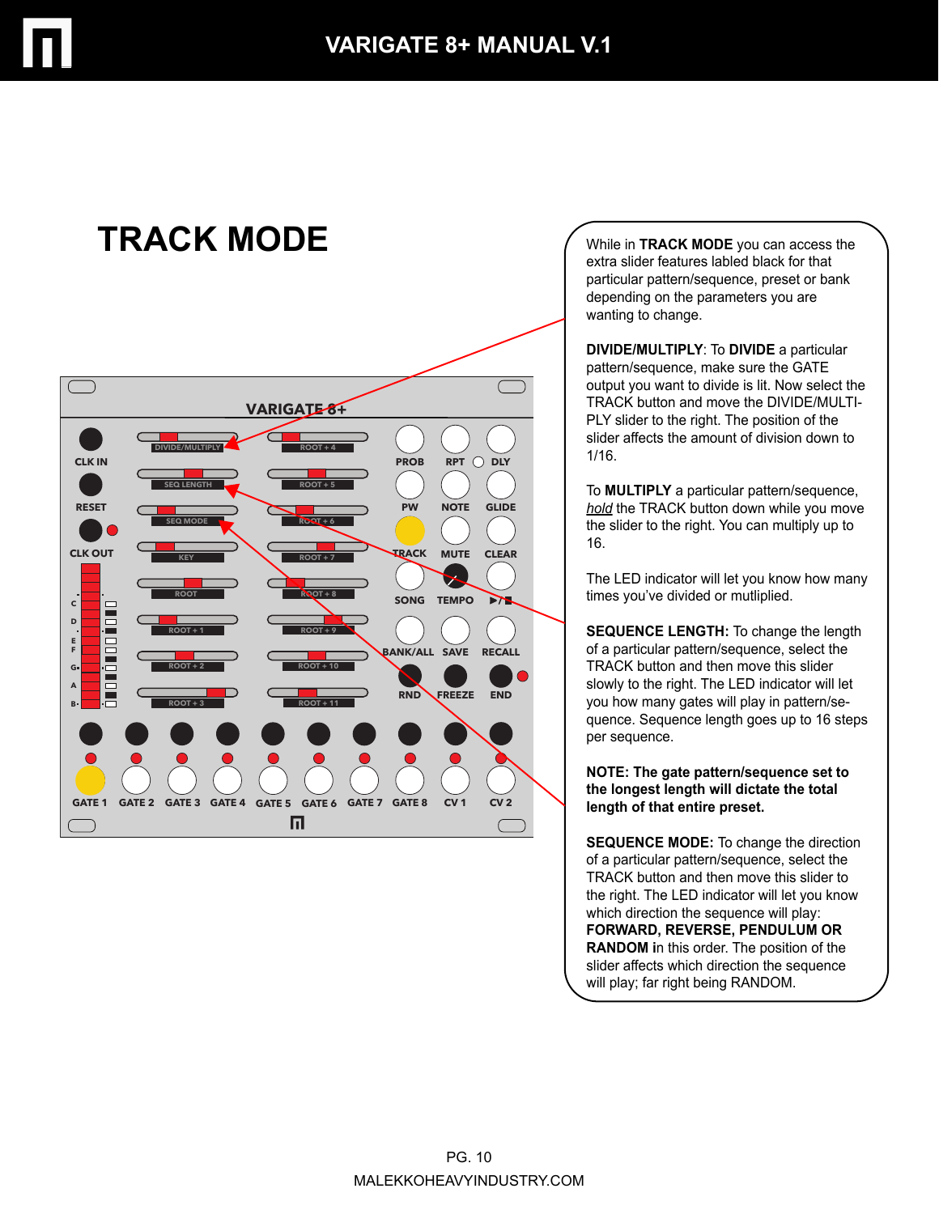

# **TRACK MODE**



While in **TRACK MODE** you can access the extra slider features labled black for that particular pattern/sequence, preset or bank depending on the parameters you are wanting to change.

**DIVIDE/MULTIPLY**: To **DIVIDE** a particular pattern/sequence, make sure the GATE output you want to divide is lit. Now select the TRACK button and move the DIVIDE/MULTI-PLY slider to the right. The position of the slider affects the amount of division down to 1/16.

To **MULTIPLY** a particular pattern/sequence, *hold* the TRACK button down while you move the slider to the right. You can multiply up to 16.

The LED indicator will let you know how many times you've divided or mutliplied.

**SEQUENCE LENGTH:** To change the length of a particular pattern/sequence, select the TRACK button and then move this slider slowly to the right. The LED indicator will let you how many gates will play in pattern/sequence. Sequence length goes up to 16 steps per sequence.

**NOTE: The gate pattern/sequence set to the longest length will dictate the total length of that entire preset.**

**SEQUENCE MODE:** To change the direction of a particular pattern/sequence, select the TRACK button and then move this slider to the right. The LED indicator will let you know which direction the sequence will play: **FORWARD, REVERSE, PENDULUM OR RANDOM i**n this order. The position of the slider affects which direction the sequence will play; far right being RANDOM.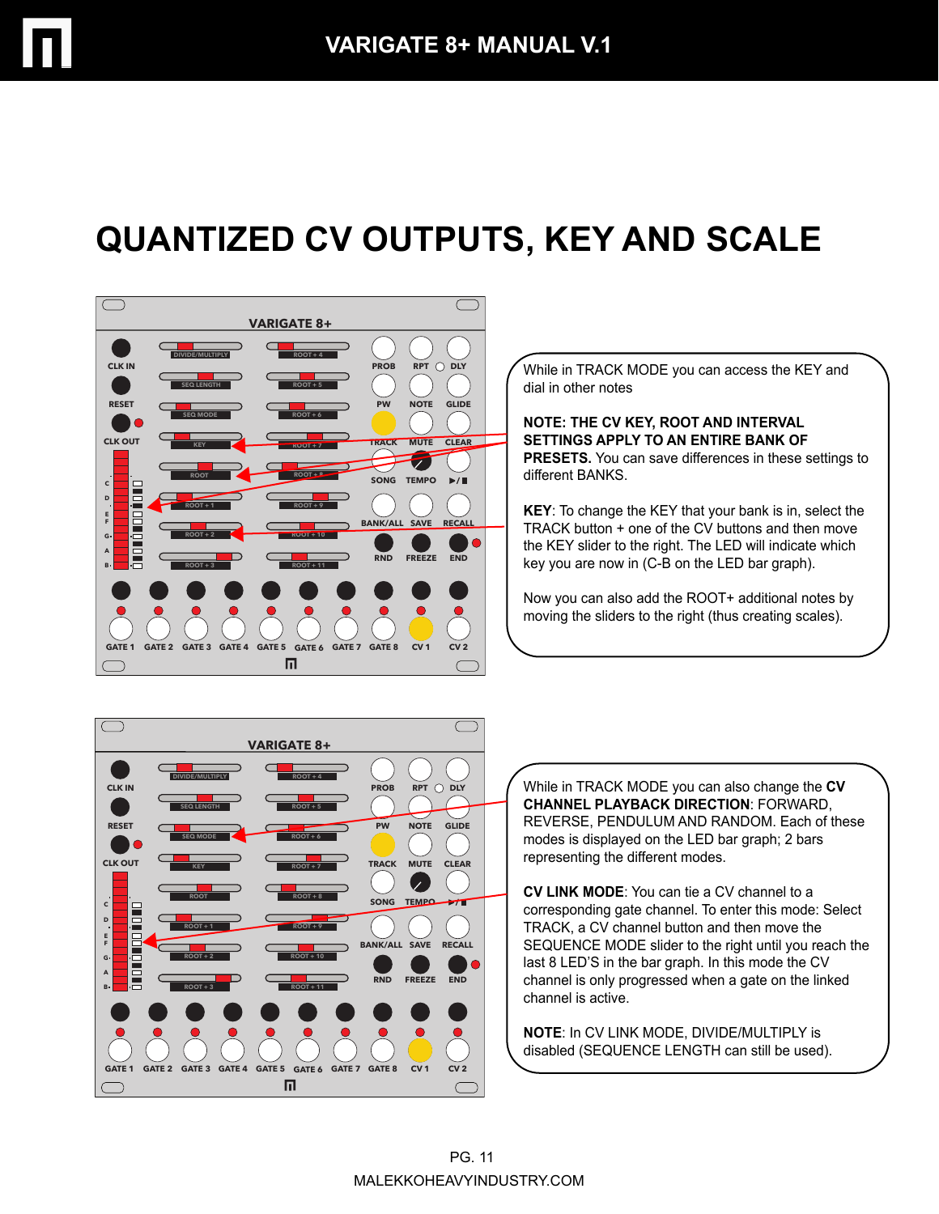# **QUANTIZED CV OUTPUTS, KEY AND SCALE**



While in TRACK MODE you can access the KEY and dial in other notes

**NOTE: THE CV KEY, ROOT AND INTERVAL SETTINGS APPLY TO AN ENTIRE BANK OF PRESETS.** You can save differences in these settings to different BANKS.

**KEY**: To change the KEY that your bank is in, select the TRACK button + one of the CV buttons and then move the KEY slider to the right. The LED will indicate which key you are now in (C-B on the LED bar graph).

Now you can also add the ROOT+ additional notes by moving the sliders to the right (thus creating scales).



While in TRACK MODE you can also change the **CV CHANNEL PLAYBACK DIRECTION**: FORWARD, REVERSE, PENDULUM AND RANDOM. Each of these modes is displayed on the LED bar graph; 2 bars representing the different modes.

**CV LINK MODE**: You can tie a CV channel to a corresponding gate channel. To enter this mode: Select TRACK, a CV channel button and then move the SEQUENCE MODE slider to the right until you reach the last 8 LED'S in the bar graph. In this mode the CV channel is only progressed when a gate on the linked channel is active.

**NOTE**: In CV LINK MODE, DIVIDE/MULTIPLY is disabled (SEQUENCE LENGTH can still be used).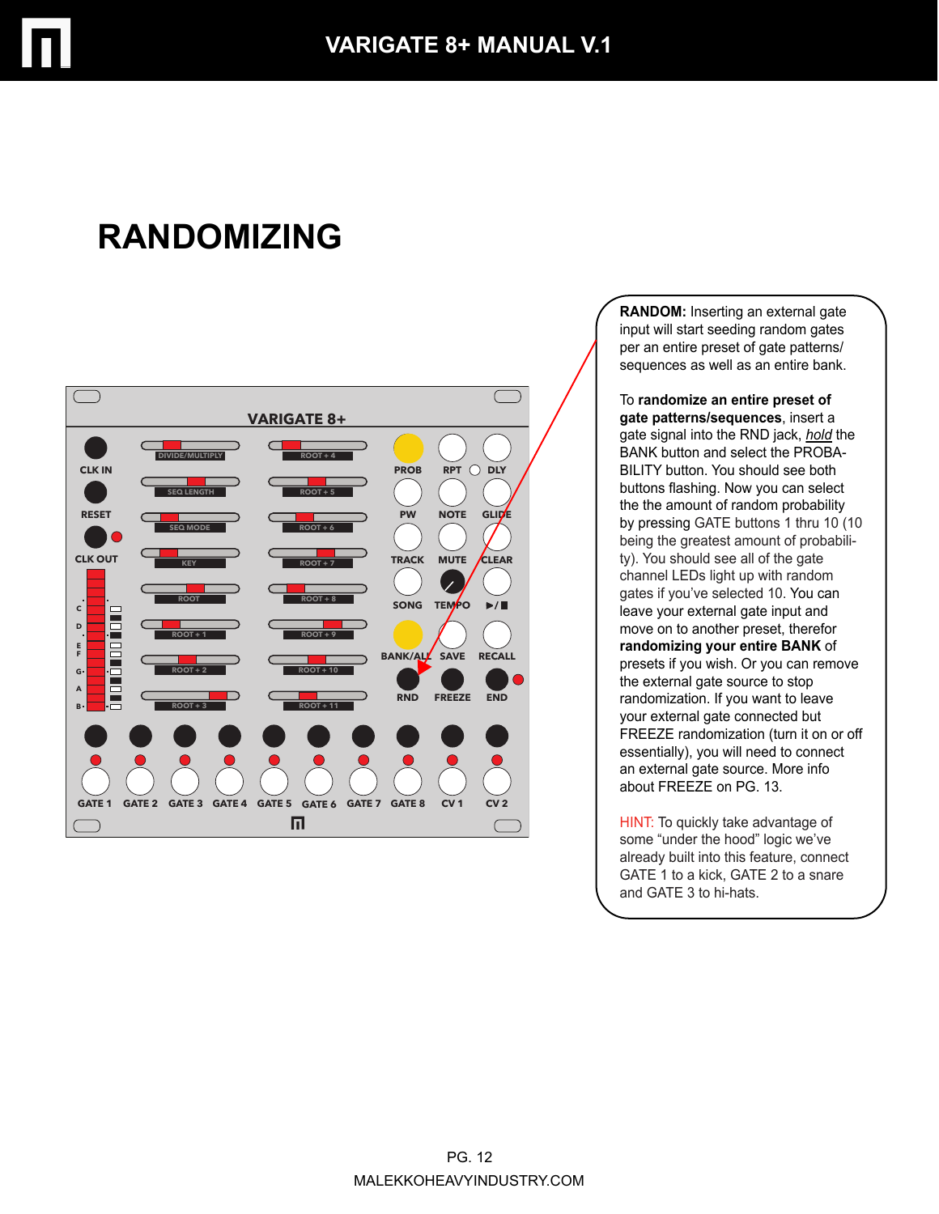

# **RANDOMIZING**



**RANDOM:** Inserting an external gate input will start seeding random gates per an entire preset of gate patterns/ sequences as well as an entire bank.

To **randomize an entire preset of gate patterns/sequences**, insert a gate signal into the RND jack, *hold* the BANK button and select the PROBA-BILITY button. You should see both buttons flashing. Now you can select the the amount of random probability by pressing GATE buttons 1 thru 10 (10 being the greatest amount of probability). You should see all of the gate channel LEDs light up with random gates if you've selected 10. You can leave your external gate input and move on to another preset, therefor **randomizing your entire BANK** of presets if you wish. Or you can remove the external gate source to stop randomization. If you want to leave your external gate connected but FREEZE randomization (turn it on or off essentially), you will need to connect an external gate source. More info about FREEZE on PG. 13.

HINT: To quickly take advantage of some "under the hood" logic we've already built into this feature, connect GATE 1 to a kick, GATE 2 to a snare and GATE 3 to hi-hats.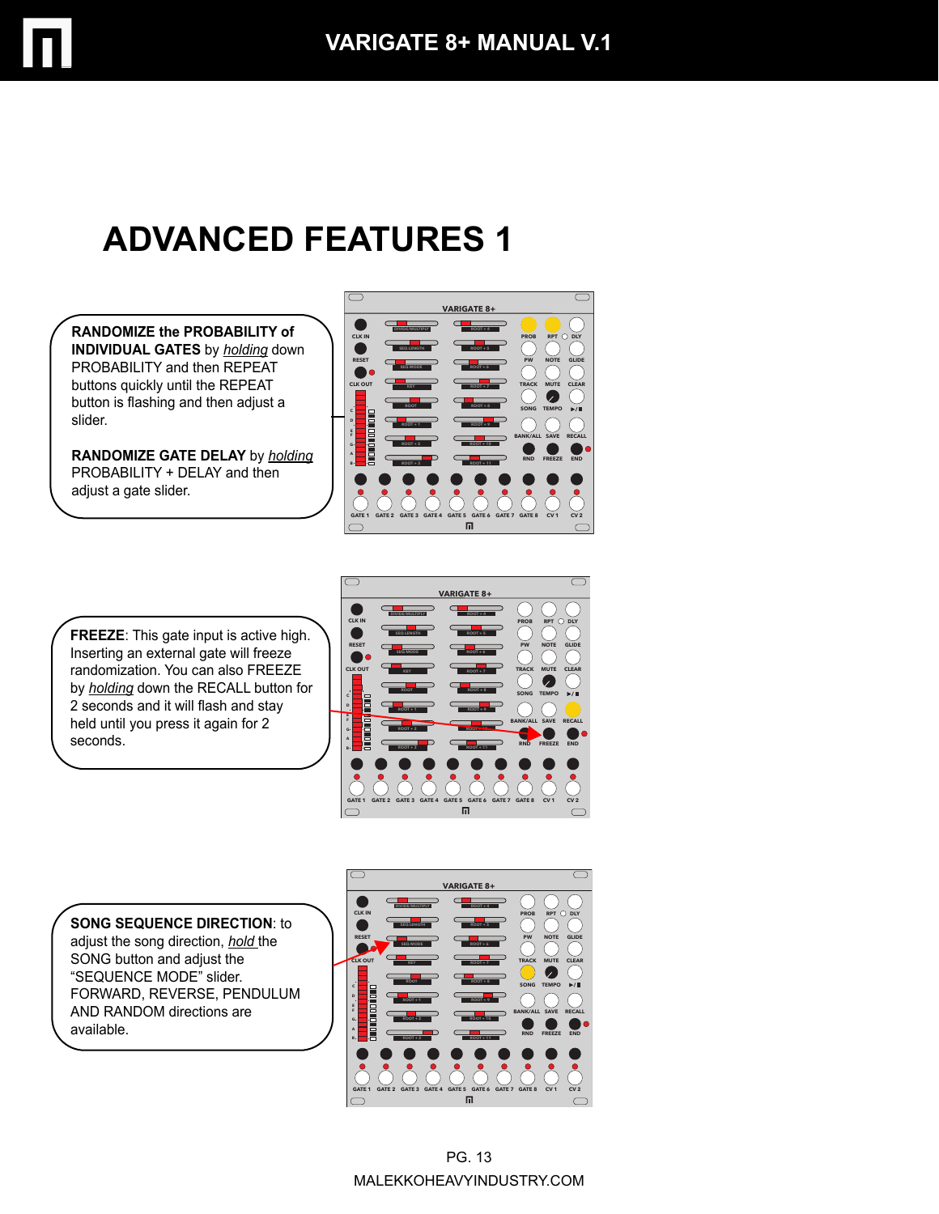# **ADVANCED FEATURES 1**

**RANDOMIZE the PROBABILITY of INDIVIDUAL GATES** by *holding* down PROBABILITY and then REPEAT buttons quickly until the REPEAT button is flashing and then adjust a slider.

**RANDOMIZE GATE DELAY** by *holding* PROBABILITY + DELAY and then adjust a gate slider.



**FREEZE**: This gate input is active high. Inserting an external gate will freeze randomization. You can also FREEZE by *holding* down the RECALL button for 2 seconds and it will flash and stay held until you press it again for 2 seconds.



**SONG SEQUENCE DIRECTION**: to adjust the song direction, *hold* the SONG button and adjust the "SEQUENCE MODE" slider. FORWARD, REVERSE, PENDULUM AND RANDOM directions are available.

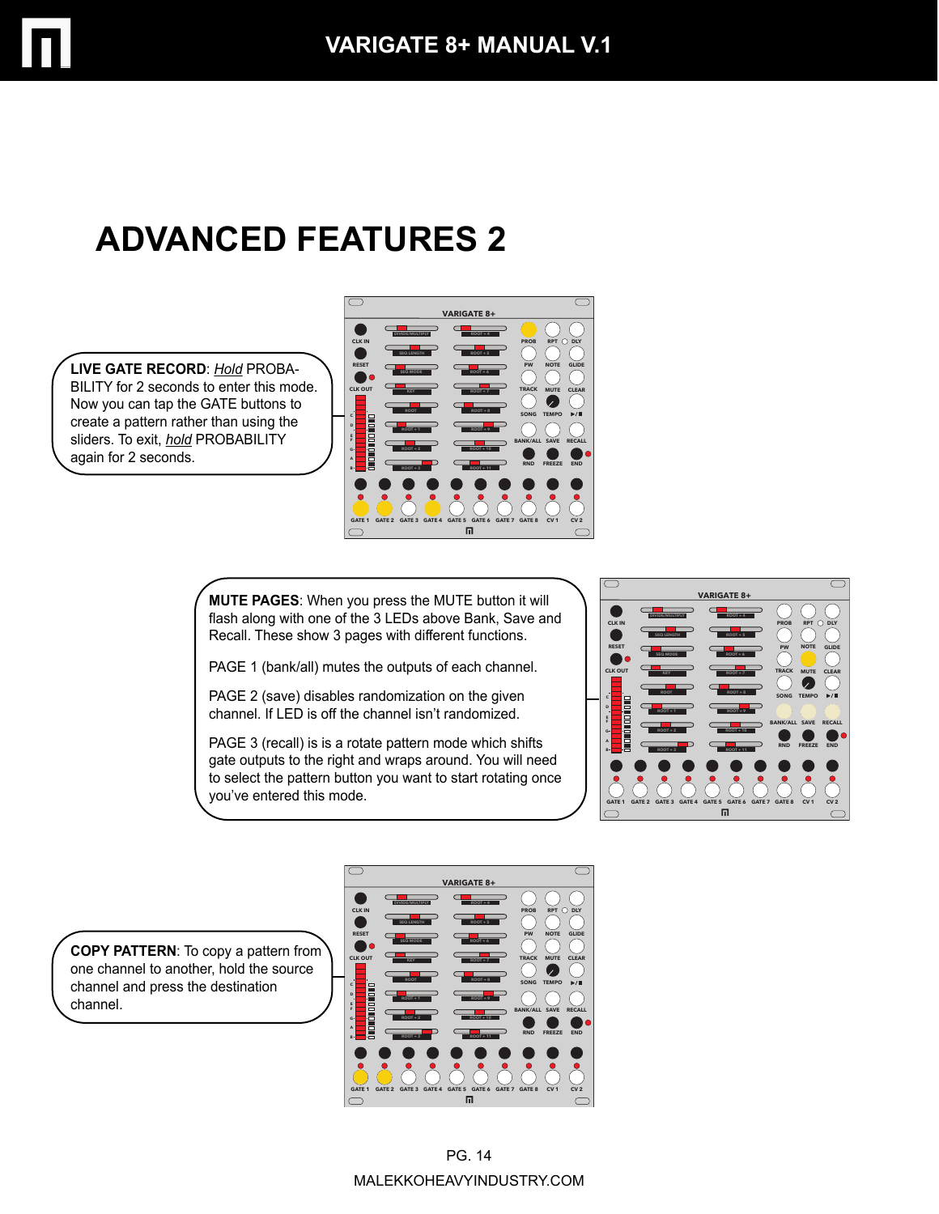# **ADVANCED FEATURES 2**

**LIVE GATE RECORD**: *Hold* PROBA-BILITY for 2 seconds to enter this mode. Now you can tap the GATE buttons to create a pattern rather than using the sliders. To exit, *hold* PROBABILITY again for 2 seconds.



**MUTE PAGES**: When you press the MUTE button it will flash along with one of the 3 LEDs above Bank, Save and Recall. These show 3 pages with different functions.

PAGE 1 (bank/all) mutes the outputs of each channel.

PAGE 2 (save) disables randomization on the given channel. If LED is off the channel isn't randomized.

PAGE 3 (recall) is is a rotate pattern mode which shifts gate outputs to the right and wraps around. You will need to select the pattern button you want to start rotating once you've entered this mode.



**COPY PATTERN**: To copy a pattern from one channel to another, hold the source channel and press the destination channel.

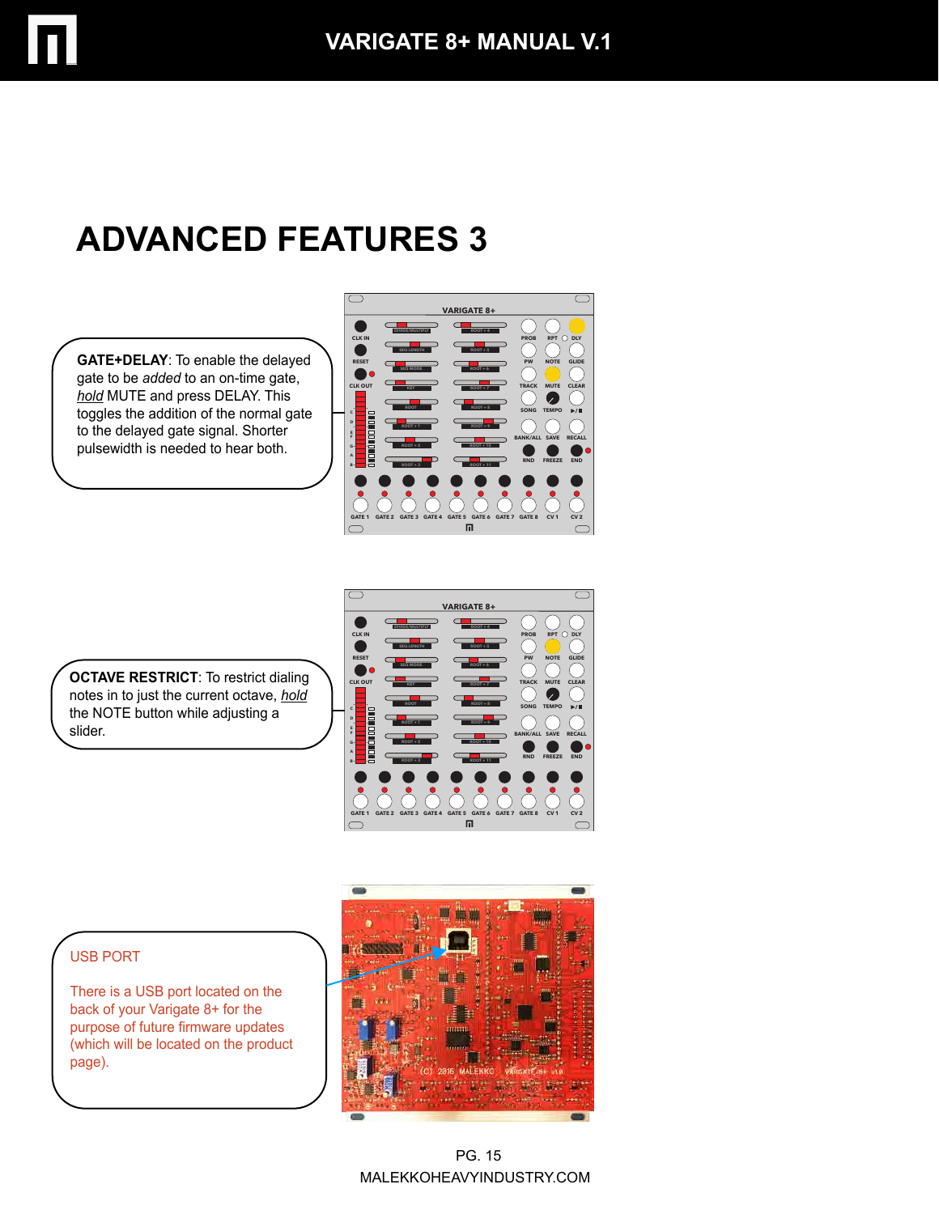# **ADVANCED FEATURES 3**

**GATE+DELAY**: To enable the delayed gate to be *added* to an on-time gate, *hold* MUTE and press DELAY. This toggles the addition of the normal gate to the delayed gate signal. Shorter pulsewidth is needed to hear both.



**OCTAVE RESTRICT:** To restrict dialing notes in to just the current octave, *hold* the NOTE button while adjusting a slider.



#### USB PORT

There is a USB port located on the back of your Varigate 8+ for the purpose of future firmware updates (which will be located on the product page).